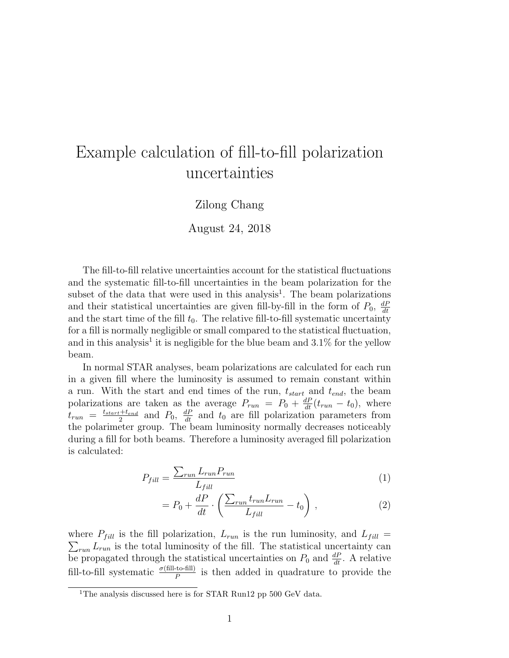## Example calculation of fill-to-fill polarization uncertainties

## Zilong Chang

August 24, 2018

The fill-to-fill relative uncertainties account for the statistical fluctuations and the systematic fill-to-fill uncertainties in the beam polarization for the subset of the data that were used in this analysis<sup>1</sup>. The beam polarizations and their statistical uncertainties are given fill-by-fill in the form of  $P_0$ ,  $\frac{dP}{dt}$ dt and the start time of the fill  $t_0$ . The relative fill-to-fill systematic uncertainty for a fill is normally negligible or small compared to the statistical fluctuation, and in this analysis<sup>1</sup> it is negligible for the blue beam and  $3.1\%$  for the yellow beam.

In normal STAR analyses, beam polarizations are calculated for each run in a given fill where the luminosity is assumed to remain constant within a run. With the start and end times of the run,  $t_{start}$  and  $t_{end}$ , the beam polarizations are taken as the average  $P_{run} = P_0 + \frac{dP}{dt}(t_{run} - t_0)$ , where  $t_{run}$  =  $\frac{t_{start}+t_{end}}{2}$  $\frac{1+t_{end}}{2}$  and  $P_0$ ,  $\frac{dP}{dt}$  and  $t_0$  are fill polarization parameters from the polarimeter group. The beam luminosity normally decreases noticeably during a fill for both beams. Therefore a luminosity averaged fill polarization is calculated:

$$
P_{fill} = \frac{\sum_{run} L_{run} P_{run}}{L_{fill}} \tag{1}
$$

$$
= P_0 + \frac{dP}{dt} \cdot \left( \frac{\sum_{run} t_{run} L_{run}}{L_{fill}} - t_0 \right) , \qquad (2)
$$

where  $P_{fill}$  is the fill polarization,  $L_{run}$  is the run luminosity, and  $L_{fill}$  $\sum_{run} L_{run}$  is the total luminosity of the fill. The statistical uncertainty can be propagated through the statistical uncertainties on  $P_0$  and  $\frac{dP}{dt}$ . A relative fill-to-fill systematic  $\frac{\sigma(\text{fill-to-fill})}{P}$  is then added in quadrature to provide the

<sup>&</sup>lt;sup>1</sup>The analysis discussed here is for STAR Run12 pp 500 GeV data.